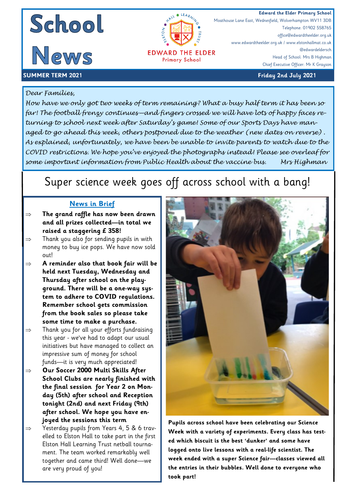## **Edward the Elder Primary School**<br>**Edward the Elder Primary School**<br>Contains the United State Wednesfield, Wolverhampton WV11 3DB

Telephone: 01902 558765

@edwardeldersch

Moathouse Lane East, Wednesfield, Wolverhampton WV11 3DB





# ò **EDWARD THE ELDER**

**Primary School** 

office@edwardtheelder.org.uk www.edwardtheelder.org.uk / www.elstonhallmat.co.uk Head of School: Mrs B Highman Chief Executive Officer: Mr K Grayson

#### *Dear Families,*

*How have we only got two weeks of term remaining? What a busy half term it has been so far! The football frenzy continues—and fingers crossed we will have lots of happy faces returning to school next week after Saturday's game! Some of our Sports Days have managed to go ahead this week, others postponed due to the weather (new dates on reverse) . As explained, unfortunately, we have been be unable to invite parents to watch due to the COVID restrictions. We hope you've enjoyed the photographs instead! Please see overleaf for some important information from Public Health about the vaccine bus. Mrs Highman* 

## Super science week goes off across school with a bang!

### **News in Brief**

- **The grand raffle has now been drawn and all prizes collected—in total we raised a staggering £ 358!**
- $\Rightarrow$  Thank you also for sending pupils in with money to buy ice pops. We have now sold out!
- **A reminder also that book fair will be held next Tuesday, Wednesday and Thursday after school on the playground. There will be a one-way system to adhere to COVID regulations. Remember school gets commission from the book sales so please take some time to make a purchase.**
- $\Rightarrow$  Thank you for all your efforts fundraising this year - we've had to adapt our usual initiatives but have managed to collect an impressive sum of money for school funds—it is very much appreciated!
- **Our Soccer 2000 Multi Skills After School Clubs are nearly finished with the final session for Year 2 on Monday (5th) after school and Reception tonight (2nd) and next Friday (9th) after school. We hope you have enjoyed the sessions this term**
- $\Rightarrow$  Yesterday pupils from Years 4, 5 & 6 travelled to Elston Hall to take part in the first Elston Hall Learning Trust netball tournament. The team worked remarkably well together and came third! Well done—we are very proud of you!



**Pupils across school have been celebrating our Science Week with a variety of experiments. Every class has tested which biscuit is the best 'dunker' and some have logged onto live lessons with a real-life scientist. The week ended with a super Science fair—classes viewed all the entries in their bubbles. Well done to everyone who took part!**